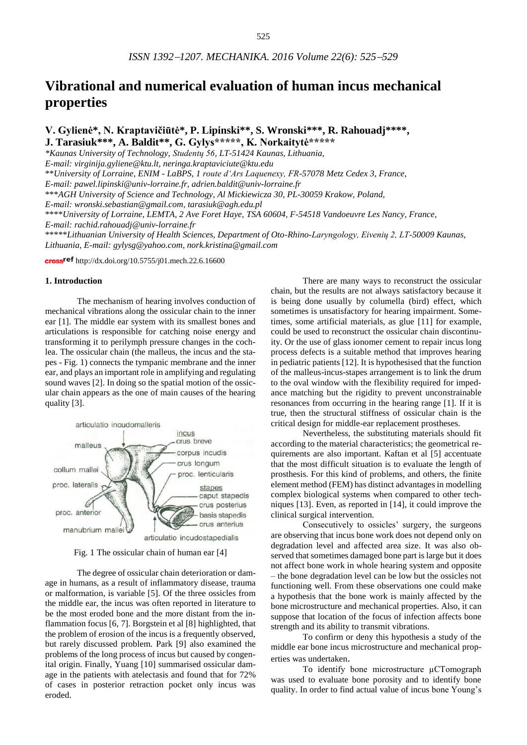# **Vibrational and numerical evaluation of human incus mechanical properties**

**V. Gylienė\*, N. Kraptavičiūtė\*, P. Lipinski\*\*, S. Wronski\*\*\*, R. Rahouadj\*\*\*\*, J. Tarasiuk\*\*\*, A. Baldit\*\*, G. Gylys\*\*\*\*\*, K. Norkaitytė\*\*\*\*\***

*\*Kaunas University of Technology, Studentų 56, LT-51424 Kaunas, Lithuania,* 

*E-mail: [virginija.gyliene@ktu.lt,](mailto:virginija.gyliene@ktu.lt) neringa.kraptaviciute@ktu.edu*

\*\**University of Lorraine, ENIM - LaBPS, 1 route d'Ars Laquenexy, FR-57078 Metz Cedex 3, France,*

*E-mail: pawel.lipinski@univ-lorraine.fr, adrien.baldit@univ-lorraine.fr*

\*\*\**AGH University of Science and Technology, Al Mickiewicza 30, PL-30059 Krakow, Poland,* 

*E-mail: [wronski.sebastian@gmail.com,](mailto:wronski.sebastian@gmail.com) [tarasiuk@agh.edu.pl](mailto:tarasiuk@agh.edu.pl)*

\*\*\*\**University of Lorraine*, *LEMTA, 2 Ave Foret Haye, TSA 60604, F-54518 Vandoeuvre Les Nancy, France,* 

*E-mail: rachid.rahouadj@univ-lorraine.fr*

\*\*\*\*\**Lithuanian University of Health Sciences, Department of Oto-Rhino-Laryngology, Eivenių 2, LT-50009 Kaunas, Lithuania, E-mail: [gylysg@yahoo.com,](mailto:gylysg@yahoo.com) nork.kristina@gmail.com*

cross<sup>ref</sup> <http://dx.doi.org/10.5755/j01.mech.22.6.16600>

### **1. Introduction**

The mechanism of hearing involves conduction of mechanical vibrations along the ossicular chain to the inner ear [1]. The middle ear system with its smallest bones and articulations is responsible for catching noise energy and transforming it to perilymph pressure changes in the cochlea. The ossicular chain (the malleus, the incus and the stapes - Fig. 1) connects the tympanic membrane and the inner ear, and plays an important role in amplifying and regulating sound waves [2]. In doing so the spatial motion of the ossicular chain appears as the one of main causes of the hearing quality [3].



Fig. 1 The ossicular chain of human ear [4]

The degree of ossicular chain deterioration or damage in humans, as a result of inflammatory disease, trauma or malformation, is variable [5]. Of the three ossicles from the middle ear, the incus was often reported in literature to be the most eroded bone and the more distant from the inflammation focus [6, 7]. Borgstein et al [8] highlighted, that the problem of erosion of the incus is a frequently observed, but rarely discussed problem. Park [9] also examined the problems of the long process of incus but caused by congenital origin. Finally, Yuang [10] summarised ossicular damage in the patients with atelectasis and found that for 72% of cases in posterior retraction pocket only incus was eroded.

There are many ways to reconstruct the ossicular chain, but the results are not always satisfactory because it is being done usually by columella (bird) effect, which sometimes is unsatisfactory for hearing impairment. Sometimes, some artificial materials, as glue [11] for example, could be used to reconstruct the ossicular chain discontinuity. Or the use of glass ionomer cement to repair incus long process defects is a suitable method that improves hearing in pediatric patients [12]. It is hypothesised that the function of the malleus-incus-stapes arrangement is to link the drum to the oval window with the flexibility required for impedance matching but the rigidity to prevent unconstrainable resonances from occurring in the hearing range [1]. If it is true, then the structural stiffness of ossicular chain is the critical design for middle-ear replacement prostheses.

Nevertheless, the substituting materials should fit according to the material characteristics; the geometrical requirements are also important. Kaftan et al [5] accentuate that the most difficult situation is to evaluate the length of prosthesis. For this kind of problems, and others, the finite element method (FEM) has distinct advantages in modelling complex biological systems when compared to other techniques [13]. Even, as reported in [14], it could improve the clinical surgical intervention.

Consecutively to ossicles' surgery, the surgeons are observing that incus bone work does not depend only on degradation level and affected area size. It was also observed that sometimes damaged bone part is large but it does not affect bone work in whole hearing system and opposite – the bone degradation level can be low but the ossicles not functioning well. From these observations one could make a hypothesis that the bone work is mainly affected by the bone microstructure and mechanical properties. Also, it can suppose that location of the focus of infection affects bone strength and its ability to transmit vibrations.

To confirm or deny this hypothesis a study of the middle ear bone incus microstructure and mechanical properties was undertaken.

To identify bone microstructure µCTomograph was used to evaluate bone porosity and to identify bone quality. In order to find actual value of incus bone Young's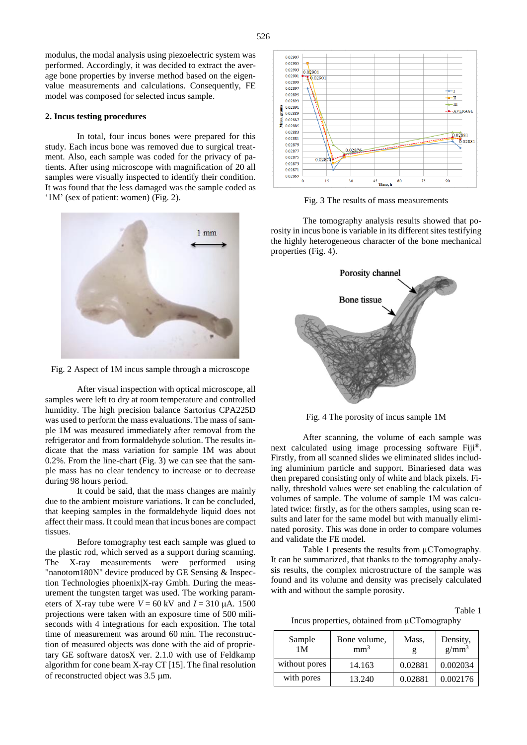modulus, the modal analysis using piezoelectric system was performed. Accordingly, it was decided to extract the average bone properties by inverse method based on the eigenvalue measurements and calculations. Consequently, FE model was composed for selected incus sample.

#### **2. Incus testing procedures**

In total, four incus bones were prepared for this study. Each incus bone was removed due to surgical treatment. Also, each sample was coded for the privacy of patients. After using microscope with magnification of 20 all samples were visually inspected to identify their condition. It was found that the less damaged was the sample coded as '1M' (sex of patient: women) (Fig. 2).



Fig. 2 Aspect of 1M incus sample through a microscope

After visual inspection with optical microscope, all samples were left to dry at room temperature and controlled humidity. The high precision balance Sartorius CPA225D was used to perform the mass evaluations. The mass of sample 1M was measured immediately after removal from the refrigerator and from formaldehyde solution. The results indicate that the mass variation for sample 1M was about 0.2%. From the line-chart (Fig. 3) we can see that the sample mass has no clear tendency to increase or to decrease during 98 hours period.

It could be said, that the mass changes are mainly due to the ambient moisture variations. It can be concluded, that keeping samples in the formaldehyde liquid does not affect their mass. It could mean that incus bones are compact tissues.

Before tomography test each sample was glued to the plastic rod, which served as a support during scanning. The X-ray measurements were performed using "nanotom180N" device produced by GE Sensing & Inspection Technologies phoenix|X-ray Gmbh. During the measurement the tungsten target was used. The working parameters of X-ray tube were  $V = 60$  kV and  $I = 310$   $\mu$ A. 1500 projections were taken with an exposure time of 500 miliseconds with 4 integrations for each exposition. The total time of measurement was around 60 min. The reconstruction of measured objects was done with the aid of proprietary GE software datosX ver. 2.1.0 with use of Feldkamp algorithm for cone beam X-ray CT [15]. The final resolution of reconstructed object was 3.5  $\mu$ m.



Fig. 3 The results of mass measurements

The tomography analysis results showed that porosity in incus bone is variable in its different sites testifying the highly heterogeneous character of the bone mechanical properties (Fig. 4).



Fig. 4 The porosity of incus sample 1M

After scanning, the volume of each sample was next calculated using image processing software Fiji®. Firstly, from all scanned slides we eliminated slides including aluminium particle and support. Binariesed data was then prepared consisting only of white and black pixels. Finally, threshold values were set enabling the calculation of volumes of sample. The volume of sample 1M was calculated twice: firstly, as for the others samples, using scan results and later for the same model but with manually eliminated porosity. This was done in order to compare volumes and validate the FE model.

Table 1 presents the results from  $\mu$ CTomography. It can be summarized, that thanks to the tomography analysis results, the complex microstructure of the sample was found and its volume and density was precisely calculated with and without the sample porosity.

Table 1

Incus properties, obtained from µCTomography

| Sample<br>1 M | Bone volume,<br>mm <sup>3</sup> | Mass.<br>g | Density,<br>$g/mm^3$ |
|---------------|---------------------------------|------------|----------------------|
| without pores | 14.163                          | 0.02881    | 0.002034             |
| with pores    | 13.240                          | 0.02881    | 0.002176             |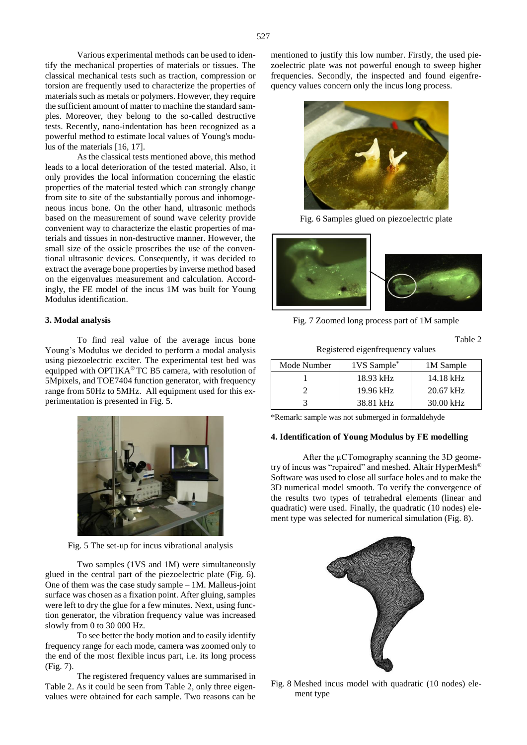Various experimental methods can be used to identify the mechanical properties of materials or tissues. The classical mechanical tests such as traction, compression or torsion are frequently used to characterize the properties of materials such as metals or polymers. However, they require the sufficient amount of matter to machine the standard samples. Moreover, they belong to the so-called destructive tests. Recently, nano-indentation has been recognized as a powerful method to estimate local values of Young's modulus of the materials [16, 17].

As the classical tests mentioned above, this method leads to a local deterioration of the tested material. Also, it only provides the local information concerning the elastic properties of the material tested which can strongly change from site to site of the substantially porous and inhomogeneous incus bone. On the other hand, ultrasonic methods based on the measurement of sound wave celerity provide convenient way to characterize the elastic properties of materials and tissues in non-destructive manner. However, the small size of the ossicle proscribes the use of the conventional ultrasonic devices. Consequently, it was decided to extract the average bone properties by inverse method based on the eigenvalues measurement and calculation. Accordingly, the FE model of the incus 1M was built for Young Modulus identification.

#### **3. Modal analysis**

To find real value of the average incus bone Young's Modulus we decided to perform a modal analysis using piezoelectric exciter. The experimental test bed was equipped with OPTIKA® TC B5 camera, with resolution of 5Mpixels, and TOE7404 function generator, with frequency range from 50Hz to 5MHz. All equipment used for this experimentation is presented in Fig. 5.



Fig. 5 The set-up for incus vibrational analysis

Two samples (1VS and 1M) were simultaneously glued in the central part of the piezoelectric plate (Fig. 6). One of them was the case study sample – 1M. Malleus-joint surface was chosen as a fixation point. After gluing, samples were left to dry the glue for a few minutes. Next, using function generator, the vibration frequency value was increased slowly from 0 to 30 000 Hz.

To see better the body motion and to easily identify frequency range for each mode, camera was zoomed only to the end of the most flexible incus part, i.e. its long process (Fig. 7).

The registered frequency values are summarised in Table 2. As it could be seen from Table 2, only three eigenvalues were obtained for each sample. Two reasons can be

mentioned to justify this low number. Firstly, the used piezoelectric plate was not powerful enough to sweep higher frequencies. Secondly, the inspected and found eigenfrequency values concern only the incus long process.



Fig. 6 Samples glued on piezoelectric plate



Fig. 7 Zoomed long process part of 1M sample

Table 2

Registered eigenfrequency values

| Mode Number | 1VS Sample* | 1M Sample   |
|-------------|-------------|-------------|
|             | $18.93$ kHz | 14.18 kHz   |
|             | $19.96$ kHz | $20.67$ kHz |
|             | 38.81 kHz   | $30.00$ kHz |

\*Remark: sample was not submerged in formaldehyde

#### **4. Identification of Young Modulus by FE modelling**

After the µCTomography scanning the 3D geometry of incus was "repaired" and meshed. Altair HyperMesh® Software was used to close all surface holes and to make the 3D numerical model smooth. To verify the convergence of the results two types of tetrahedral elements (linear and quadratic) were used. Finally, the quadratic (10 nodes) element type was selected for numerical simulation (Fig. 8).



Fig. 8 Meshed incus model with quadratic (10 nodes) element type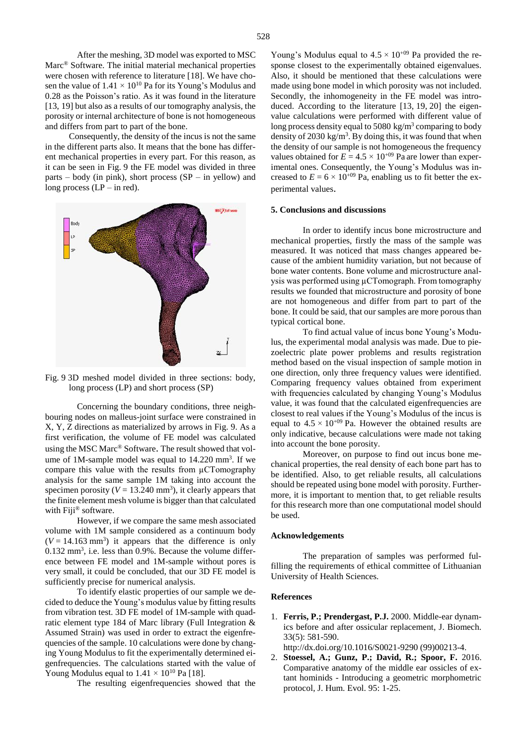After the meshing, 3D model was exported to MSC Marc® Software. The initial material mechanical properties were chosen with reference to literature [18]. We have chosen the value of  $1.41 \times 10^{10}$  Pa for its Young's Modulus and 0.28 as the Poisson's ratio. As it was found in the literature [13, 19] but also as a results of our tomography analysis, the porosity or internal architecture of bone is not homogeneous and differs from part to part of the bone.

Consequently, the density of the incus is not the same in the different parts also. It means that the bone has different mechanical properties in every part. For this reason, as it can be seen in Fig. 9 the FE model was divided in three parts – body (in pink), short process (SP – in yellow) and long process  $(LP - in red)$ .



Fig. 9 3D meshed model divided in three sections: body, long process (LP) and short process (SP)

Concerning the boundary conditions, three neighbouring nodes on malleus-joint surface were constrained in X, Y, Z directions as materialized by arrows in Fig. 9. As a first verification, the volume of FE model was calculated using the MSC Marc® Software. The result showed that volume of  $1M$ -sample model was equal to  $14.220 \text{ mm}^3$ . If we compare this value with the results from µCTomography analysis for the same sample 1M taking into account the specimen porosity ( $V = 13.240$  mm<sup>3</sup>), it clearly appears that the finite element mesh volume is bigger than that calculated with Fiji<sup>®</sup> software.

However, if we compare the same mesh associated volume with 1M sample considered as a continuum body  $(V = 14.163$  mm<sup>3</sup>) it appears that the difference is only 0.132 mm<sup>3</sup>, i.e. less than 0.9%. Because the volume difference between FE model and 1M-sample without pores is very small, it could be concluded, that our 3D FE model is sufficiently precise for numerical analysis.

To identify elastic properties of our sample we decided to deduce the Young's modulus value by fitting results from vibration test. 3D FE model of 1M-sample with quadratic element type 184 of Marc library (Full Integration & Assumed Strain) was used in order to extract the eigenfrequencies of the sample. 10 calculations were done by changing Young Modulus to fit the experimentally determined eigenfrequencies. The calculations started with the value of Young Modulus equal to  $1.41 \times 10^{10}$  Pa [18].

The resulting eigenfrequencies showed that the

Young's Modulus equal to  $4.5 \times 10^{+09}$  Pa provided the response closest to the experimentally obtained eigenvalues. Also, it should be mentioned that these calculations were made using bone model in which porosity was not included. Secondly, the inhomogeneity in the FE model was introduced. According to the literature [13, 19, 20] the eigenvalue calculations were performed with different value of long process density equal to 5080 kg/m<sup>3</sup> comparing to body density of 2030 kg/m<sup>3</sup>. By doing this, it was found that when the density of our sample is not homogeneous the frequency values obtained for  $E = 4.5 \times 10^{+09}$  Pa are lower than experimental ones. Consequently, the Young's Modulus was increased to  $E = 6 \times 10^{+09}$  Pa, enabling us to fit better the experimental values.

#### **5. Conclusions and discussions**

In order to identify incus bone microstructure and mechanical properties, firstly the mass of the sample was measured. It was noticed that mass changes appeared because of the ambient humidity variation, but not because of bone water contents. Bone volume and microstructure analysis was performed using µCTomograph. From tomography results we founded that microstructure and porosity of bone are not homogeneous and differ from part to part of the bone. It could be said, that our samples are more porous than typical cortical bone.

To find actual value of incus bone Young's Modulus, the experimental modal analysis was made. Due to piezoelectric plate power problems and results registration method based on the visual inspection of sample motion in one direction, only three frequency values were identified. Comparing frequency values obtained from experiment with frequencies calculated by changing Young's Modulus value, it was found that the calculated eigenfrequencies are closest to real values if the Young's Modulus of the incus is equal to  $4.5 \times 10^{+09}$  Pa. However the obtained results are only indicative, because calculations were made not taking into account the bone porosity.

Moreover, on purpose to find out incus bone mechanical properties, the real density of each bone part has to be identified. Also, to get reliable results, all calculations should be repeated using bone model with porosity. Furthermore, it is important to mention that, to get reliable results for this research more than one computational model should be used.

#### **Acknowledgements**

The preparation of samples was performed fulfilling the requirements of ethical committee of Lithuanian University of Health Sciences.

#### **References**

1. **Ferris, P.; Prendergast, P.J.** 2000. Middle-ear dynamics before and after ossicular replacement, J. Biomech. 33(5): 581-590.

http://dx.doi.org/10.1016/S0021-9290 (99)00213-4.

2. **Stoessel, A.; Gunz, P.; David, R.; Spoor, F.** 2016. Comparative anatomy of the middle ear ossicles of extant hominids - Introducing a geometric morphometric protocol, J. Hum. Evol. 95: 1-25.